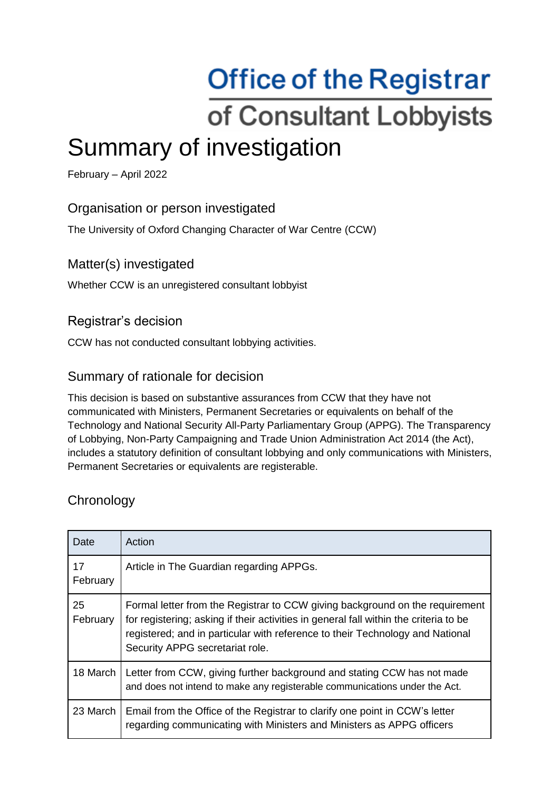# **Office of the Registrar** of Consultant Lobbyists Summary of investigation

February – April 2022

## Organisation or person investigated

The University of Oxford Changing Character of War Centre (CCW)

#### Matter(s) investigated

Whether CCW is an unregistered consultant lobbyist

## Registrar's decision

CCW has not conducted consultant lobbying activities.

#### Summary of rationale for decision

This decision is based on substantive assurances from CCW that they have not communicated with Ministers, Permanent Secretaries or equivalents on behalf of the Technology and National Security All-Party Parliamentary Group (APPG). The Transparency of Lobbying, Non-Party Campaigning and Trade Union Administration Act 2014 (the Act), includes a statutory definition of consultant lobbying and only communications with Ministers, Permanent Secretaries or equivalents are registerable.

## **Chronology**

| Date           | Action                                                                                                                                                                                                                                                                                    |
|----------------|-------------------------------------------------------------------------------------------------------------------------------------------------------------------------------------------------------------------------------------------------------------------------------------------|
| 17<br>February | Article in The Guardian regarding APPGs.                                                                                                                                                                                                                                                  |
| 25<br>February | Formal letter from the Registrar to CCW giving background on the requirement<br>for registering; asking if their activities in general fall within the criteria to be<br>registered; and in particular with reference to their Technology and National<br>Security APPG secretariat role. |
| 18 March       | Letter from CCW, giving further background and stating CCW has not made<br>and does not intend to make any registerable communications under the Act.                                                                                                                                     |
| 23 March       | Email from the Office of the Registrar to clarify one point in CCW's letter<br>regarding communicating with Ministers and Ministers as APPG officers                                                                                                                                      |